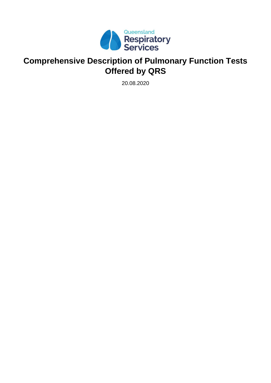

# **Comprehensive Description of Pulmonary Function Tests Offered by QRS**

20.08.2020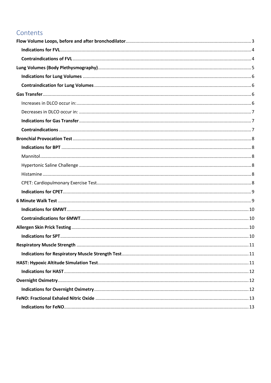# Contents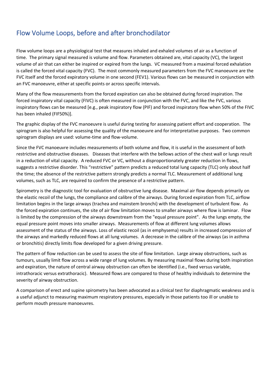# <span id="page-2-0"></span>Flow Volume Loops, before and after bronchodilator

Flow volume loops are a physiological test that measures inhaled and exhaled volumes of air as a function of time. The primary signal measured is volume and flow. Parameters obtained are, vital capacity (VC), the largest volume of air that can either be inspired or expired from the lungs. VC measured from a maximal forced exhalation is called the forced vital capacity (FVC). The most commonly measured parameters from the FVC manoeuvre are the FVC itself and the forced expiratory volume in one second (FEV1). Various flows can be measured in conjunction with an FVC manoeuvre, either at specific points or across specific intervals.

Many of the flow measurements from the forced expiration can also be obtained during forced inspiration. The forced inspiratory vital capacity (FIVC) is often measured in conjunction with the FVC, and like the FVC, various inspiratory flows can be measured [e.g., peak inspiratory flow (PIF) and forced inspiratory flow when 50% of the FIVC has been inhaled (FIF50%)].

The graphic display of the FVC manoeuvre is useful during testing for assessing patient effort and cooperation. The spirogram is also helpful for assessing the quality of the manoeuvre and for interpretative purposes. Two common spirogram displays are used: volume-time and flow-volume.

Since the FVC manoeuvre includes measurements of both volume and flow, it is useful in the assessment of both restrictive and obstructive diseases. Diseases that interfere with the bellows action of the chest wall or lungs result in a reduction of vital capacity. A reduced FVC or VC, without a disproportionately greater reduction in flows, suggests a restrictive disorder. This "restrictive" pattern predicts a reduced total lung capacity (TLC) only about half the time; the absence of the restrictive pattern strongly predicts a normal TLC. Measurement of additional lung volumes, such as TLC, are required to confirm the presence of a restrictive pattern.

Spirometry is the diagnostic tool for evaluation of obstructive lung disease. Maximal air flow depends primarily on the elastic recoil of the lungs, the compliance and calibre of the airways. During forced expiration from TLC, airflow limitation begins in the large airways (trachea and mainstem bronchi) with the development of turbulent flow. As the forced expiration continues, the site of air flow limitation moves to smaller airways where flow is laminar. Flow is limited by the compression of the airways downstream from the "equal pressure point". As the lungs empty, the equal pressure point moves into smaller airways. Measurements of flow at different lung volumes allows assessment of the status of the airways. Loss of elastic recoil (as in emphysema) results in increased compression of the airways and markedly reduced flows at all lung volumes. A decrease in the calibre of the airways (as in asthma or bronchitis) directly limits flow developed for a given driving pressure.

The pattern of flow reduction can be used to assess the site of flow limitation. Large airway obstructions, such as tumours, usually limit flow across a wide range of lung volumes. By measuring maximal flows during both inspiration and expiration, the nature of central airway obstruction can often be identified (i.e., fixed versus variable, intrathoracic versus extrathoracic). Measured flows are compared to those of healthy individuals to determine the severity of airway obstruction.

A comparison of erect and supine spirometry has been advocated as a clinical test for diaphragmatic weakness and is a useful adjunct to measuring maximum respiratory pressures, especially in those patients too ill or unable to perform mouth pressure manoeuvres.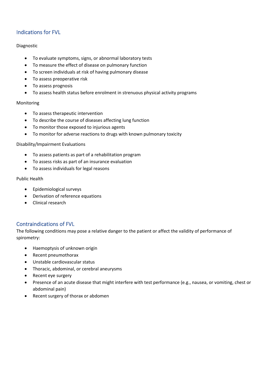# <span id="page-3-0"></span>Indications for FVL

#### Diagnostic

- To evaluate symptoms, signs, or abnormal laboratory tests
- To measure the effect of disease on pulmonary function
- To screen individuals at risk of having pulmonary disease
- To assess preoperative risk
- To assess prognosis
- To assess health status before enrolment in strenuous physical activity programs

#### Monitoring

- To assess therapeutic intervention
- To describe the course of diseases affecting lung function
- To monitor those exposed to injurious agents
- To monitor for adverse reactions to drugs with known pulmonary toxicity

#### Disability/Impairment Evaluations

- To assess patients as part of a rehabilitation program
- To assess risks as part of an insurance evaluation
- To assess individuals for legal reasons

#### Public Health

- Epidemiological surveys
- Derivation of reference equations
- Clinical research

#### <span id="page-3-1"></span>Contraindications of FVL

The following conditions may pose a relative danger to the patient or affect the validity of performance of spirometry:

- Haemoptysis of unknown origin
- Recent pneumothorax
- Unstable cardiovascular status
- Thoracic, abdominal, or cerebral aneurysms
- Recent eye surgery
- Presence of an acute disease that might interfere with test performance (e.g., nausea, or vomiting, chest or abdominal pain)
- Recent surgery of thorax or abdomen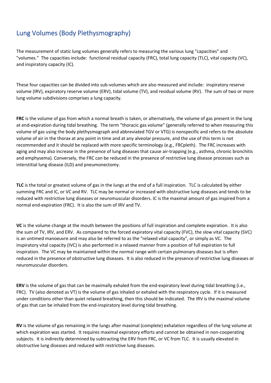# <span id="page-4-0"></span>Lung Volumes (Body Plethysmography)

The measurement of static lung volumes generally refers to measuring the various lung "capacities" and "volumes." The capacities include: functional residual capacity (FRC), total lung capacity (TLC), vital capacity (VC), and inspiratory capacity (IC).

These four capacities can be divided into sub-volumes which are also measured and include: inspiratory reserve volume (IRV), expiratory reserve volume (ERV), tidal volume (TV), and residual volume (RV). The sum of two or more lung volume subdivisions comprises a lung capacity.

**FRC** is the volume of gas from which a normal breath is taken, or alternatively, the volume of gas present in the lung at end-expiration during tidal breathing. The term "thoracic gas volume" (generally referred to when measuring this volume of gas using the body plethysmograph and abbreviated TGV or VTG) is nonspecific and refers to the absolute volume of air in the thorax at any point in time and at any alveolar pressure, and the use of this term is not recommended and it should be replaced with more specific terminology (e.g., FRCpleth). The FRC increases with aging and may also increase in the presence of lung diseases that cause air-trapping (e.g., asthma, chronic bronchitis and emphysema). Conversely, the FRC can be reduced in the presence of restrictive lung disease processes such as interstitial lung disease (ILD) and pneumonectomy.

**TLC** is the total or greatest volume of gas in the lungs at the end of a full inspiration. TLC is calculated by either summing FRC and IC, or VC and RV. TLC may be normal or increased with obstructive lung diseases and tends to be reduced with restrictive lung diseases or neuromuscular disorders. IC is the maximal amount of gas inspired from a normal end-expiration (FRC). It is also the sum of IRV and TV.

**VC** is the volume change at the mouth between the positions of full inspiration and complete expiration. It is also the sum of TV, IRV, and ERV. As compared to the forced expiratory vital capacity (FVC), the slow vital capacity (SVC) is an untimed manoeuvre and may also be referred to as the "relaxed vital capacity", or simply as VC. The inspiratory vital capacity (IVC) is also performed in a relaxed manner from a position of full expiration to full inspiration. The VC may be maintained within the normal range with certain pulmonary diseases but is often reduced in the presence of obstructive lung diseases. It is also reduced in the presence of restrictive lung diseases or neuromuscular disorders.

**ERV** is the volume of gas that can be maximally exhaled from the end-expiratory level during tidal breathing (i.e., FRC). TV (also denoted as VT) is the volume of gas inhaled or exhaled with the respiratory cycle. If it is measured under conditions other than quiet relaxed breathing, then this should be indicated. The IRV is the maximal volume of gas that can be inhaled from the end-inspiratory level during tidal breathing.

**RV** is the volume of gas remaining in the lungs after maximal (complete) exhalation regardless of the lung volume at which expiration was started. It requires maximal expiratory efforts and cannot be obtained in non-cooperating subjects. It is indirectly determined by subtracting the ERV from FRC, or VC from TLC. It is usually elevated in obstructive lung diseases and reduced with restrictive lung diseases.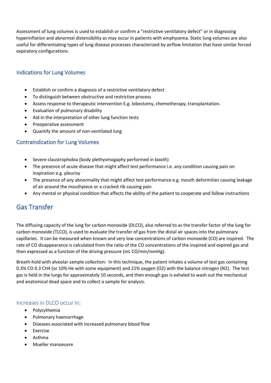Assessment of lung volumes is used to establish or confirm a "restrictive ventilatory defect" or in diagnosing hyperinflation and abnormal distensibility as may occur in patients with emphysema. Static lung volumes are also useful for differentiating types of lung disease processes characterized by airflow limitation that have similar forced expiratory configurations.

### <span id="page-5-0"></span>Indications for Lung Volumes

- Establish or confirm a diagnosis of a restrictive ventilatory defect
- To distinguish between obstructive and restrictive process
- Assess response to therapeutic intervention E.g. lobectomy, chemotherapy, transplantation.
- Evaluation of pulmonary disability
- Aid in the interpretation of other lung function tests
- Preoperative assessment
- Quantify the amount of non-ventilated lung

### <span id="page-5-1"></span>Contraindication for Lung Volumes

- Severe claustrophobia (body plethysmogaphy performed in booth)
- The presence of acute disease that might affect test performance i.e. any condition causing pain on inspiration e.g. pleurisy
- The presence of any abnormality that might affect test performance e.g. mouth deformities causing leakage of air around the mouthpiece or a cracked rib causing pain
- Any mental or physical condition that affects the ability of the patient to cooperate and follow instructions

# <span id="page-5-2"></span>Gas Transfer

The diffusing capacity of the lung for carbon monoxide (DLCO), also referred to as the transfer factor of the lung for carbon monoxide (TLCO), is used to evaluate the transfer of gas from the distal air spaces into the pulmonary capillaries. It can be measured when known and very low concentrations of carbon monoxide (CO) are inspired. The rate of CO disappearance is calculated from the ratio of the CO concentrations of the inspired and expired gas and then expressed as a function of the driving pressure (mL CO/min/mmHg).

Breath-hold with alveolar sample collection: In this technique, the patient inhales a volume of test gas containing 0.3% CO 0.3 CH4 (or 10% He with some equipment) and 21% oxygen (O2) with the balance nitrogen (N2). The test gas is held in the lungs for approximately 10 seconds, and then enough gas is exhaled to wash out the mechanical and anatomical dead space and to collect a sample for analysis.

#### <span id="page-5-3"></span>Increases in DLCO occur in:

- Polycythemia
- Pulmonary haemorrhage
- Diseases associated with increased pulmonary blood flow
- Exercise
- Asthma
- Mueller manoeuvre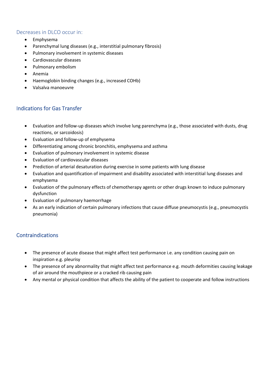### <span id="page-6-0"></span>Decreases in DLCO occur in:

- Emphysema
- Parenchymal lung diseases (e.g., interstitial pulmonary fibrosis)
- Pulmonary involvement in systemic diseases
- Cardiovascular diseases
- Pulmonary embolism
- Anemia
- Haemoglobin binding changes (e.g., increased COHb)
- Valsalva manoeuvre

## <span id="page-6-1"></span>Indications for Gas Transfer

- Evaluation and follow-up diseases which involve lung parenchyma (e.g., those associated with dusts, drug reactions, or sarcoidosis)
- Evaluation and follow-up of emphysema
- Differentiating among chronic bronchitis, emphysema and asthma
- Evaluation of pulmonary involvement in systemic disease
- Evaluation of cardiovascular diseases
- Prediction of arterial desaturation during exercise in some patients with lung disease
- Evaluation and quantification of impairment and disability associated with interstitial lung diseases and emphysema
- Evaluation of the pulmonary effects of chemotherapy agents or other drugs known to induce pulmonary dysfunction
- Evaluation of pulmonary haemorrhage
- As an early indication of certain pulmonary infections that cause diffuse pneumocystis (e.g., pneumocystis pneumonia)

### <span id="page-6-2"></span>**Contraindications**

- The presence of acute disease that might affect test performance i.e. any condition causing pain on inspiration e.g. pleurisy
- The presence of any abnormality that might affect test performance e.g. mouth deformities causing leakage of air around the mouthpiece or a cracked rib causing pain
- Any mental or physical condition that affects the ability of the patient to cooperate and follow instructions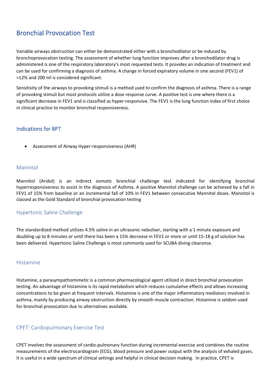# <span id="page-7-0"></span>Bronchial Provocation Test

Variable airways obstruction can either be demonstrated either with a bronchodilator or be induced by bronchoprovocation testing. The assessment of whether lung function improves after a bronchodilator drug is administered is one of the respiratory laboratory's most requested tests. It provides an indication of treatment and can be used for confirming a diagnosis of asthma. A change in forced expiratory volume in one second (FEV1) of >12% and 200 ml is considered significant.

Sensitivity of the airways to provoking stimuli is a method used to confirm the diagnosis of asthma. There is a range of provoking stimuli but most protocols utilize a dose response curve. A positive test is one where there is a significant decrease in FEV1 and is classified as hyper-responsive. The FEV1 is the lung function index of first choice in clinical practice to monitor bronchial responsiveness.

### <span id="page-7-1"></span>Indications for BPT

• Assessment of Airway Hyper-responsiveness (AHR)

#### <span id="page-7-2"></span>Mannitol

Mannitol (Aridol) is an indirect osmotic bronchial challenge test indicated for identifying bronchial hyperresponsiveness to assist in the diagnosis of Asthma. A positive Mannitol challenge can be achieved by a fall in FEV1 of 15% from baseline or an incremental fall of 10% in FEV1 between consecutive Mannitol doses. Mannitol is classed as the Gold Standard of bronchial provocation testing

#### <span id="page-7-3"></span>Hypertonic Saline Challenge

The standardized method utilizes 4.5% saline in an ultrasonic nebuliser, starting with a 1 minute exposure and doubling up to 8 minutes or until there has been a 15% decrease in FEV1 or more or until 15-18 g of solution has been delivered. Hypertonic Saline Challenge is most commonly used for SCUBA diving clearance.

#### <span id="page-7-4"></span>Histamine

Histamine, a parasympathomimetic is a common pharmacological agent utilized in direct bronchial provocation testing. An advantage of histamine is its rapid metabolism which reduces cumulative effects and allows increasing concentrations to be given at frequent intervals. Histamine is one of the major inflammatory mediators involved in asthma, mainly by producing airway obstruction directly by smooth muscle contraction. Histamine is seldom used for bronchial provocation due to alternatives available.

#### <span id="page-7-5"></span>CPET: Cardiopulmonary Exercise Test

CPET involves the assessment of cardio-pulmonary function during incremental exercise and combines the routine measurements of the electrocardiogram (ECG), blood pressure and power output with the analysis of exhaled gases. It is useful in a wide spectrum of clinical settings and helpful in clinical decision making. In practice, CPET is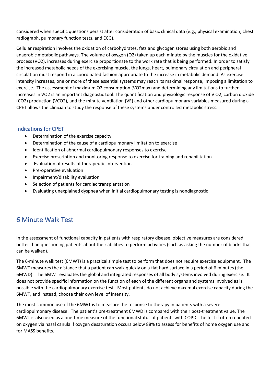considered when specific questions persist after consideration of basic clinical data (e.g., physical examination, chest radiograph, pulmonary function tests, and ECG).

Cellular respiration involves the oxidation of carbohydrates, fats and glycogen stores using both aerobic and anaerobic metabolic pathways. The volume of oxygen (O2) taken up each minute by the muscles for the oxidative process (VO2), increases during exercise proportionate to the work rate that is being performed. In order to satisfy the increased metabolic needs of the exercising muscle, the lungs, heart, pulmonary circulation and peripheral circulation must respond in a coordinated fashion appropriate to the increase in metabolic demand. As exercise intensity increases, one or more of these essential systems may reach its maximal response, imposing a limitation to exercise. The assessment of maximum O2 consumption (VO2max) and determining any limitations to further increases in VO2 is an important diagnostic tool. The quantification and physiologic response of V O2, carbon dioxide (CO2) production (VCO2), and the minute ventilation (VE) and other cardiopulmonary variables measured during a CPET allows the clinician to study the response of these systems under controlled metabolic stress.

### <span id="page-8-0"></span>Indications for CPET

- Determination of the exercise capacity
- Determination of the cause of a cardiopulmonary limitation to exercise
- Identification of abnormal cardiopulmonary responses to exercise
- Exercise prescription and monitoring response to exercise for training and rehabilitation
- Evaluation of results of therapeutic intervention
- Pre-operative evaluation
- Impairment/disability evaluation
- Selection of patients for cardiac transplantation
- Evaluating unexplained dyspnea when initial cardiopulmonary testing is nondiagnostic

# <span id="page-8-1"></span>6 Minute Walk Test

In the assessment of functional capacity in patients with respiratory disease, objective measures are considered better than questioning patients about their abilities to perform activities (such as asking the number of blocks that can be walked).

The 6-minute walk test (6MWT) is a practical simple test to perform that does not require exercise equipment. The 6MWT measures the distance that a patient can walk quickly on a flat hard surface in a period of 6 minutes (the 6MWD). The 6MWT evaluates the global and integrated responses of all body systems involved during exercise. It does not provide specific information on the function of each of the different organs and systems involved as is possible with the cardiopulmonary exercise test. Most patients do not achieve maximal exercise capacity during the 6MWT, and instead, choose their own level of intensity.

The most common use of the 6MWT is to measure the response to therapy in patients with a severe cardiopulmonary disease. The patient's pre-treatment 6MWD is compared with their post-treatment value. The 6MWT is also used as a one-time measure of the functional status of patients with COPD. The test if often repeated on oxygen via nasal canula if oxygen desaturation occurs below 88% to assess for benefits of home oxygen use and for MASS benefits.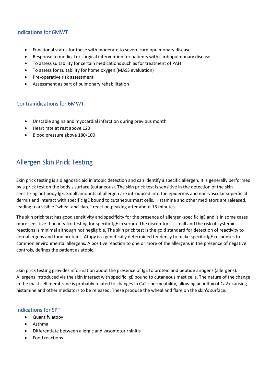### <span id="page-9-0"></span>Indications for 6MWT

- Functional status for those with moderate to severe cardiopulmonary disease
- Response to medical or surgical intervention for patients with cardiopulmonary disease
- To assess suitability for certain medications such as for treatment of PAH
- To assess for suitability for home oxygen (MASS evaluation)
- Pre-operative risk assessment
- Assessment as part of pulmonary rehabilitation

#### <span id="page-9-1"></span>Contraindications for 6MWT

- Unstable angina and myocardial infarction during previous month
- Heart rate at rest above 120
- Blood pressure above 180/100

# <span id="page-9-2"></span>Allergen Skin Prick Testing

Skin prick testing is a diagnostic aid in atopic detection and can identify a specific allergen. It is generally performed by a prick test on the body's surface (cutaneous). The skin prick test is sensitive in the detection of the skin sensitizing antibody IgE. Small amounts of allergen are introduced into the epidermis and non-vascular superficial dermis and interact with specific IgE bound to cutaneous mast cells. Histamine and other mediators are released, leading to a visible "wheal-and-flare" reaction peaking after about 15 minutes.

The skin prick test has good sensitivity and specificity for the presence of allergen-specific IgE and is in some cases more sensitive than in-vitro testing for specific IgE in serum. The discomfort is small and the risk of systemic reactions is minimal although not negligible. The skin prick test is the gold standard for detection of reactivity to aeroallergens and food proteins. Atopy is a genetically determined tendency to make specific IgE responses to common environmental allergens. A positive reaction to one or more of the allergens in the presence of negative controls, defines the patient as atopic.

Skin prick testing provides information about the presence of IgE to protein and peptide antigens (allergens). Allergens introduced via the skin interact with specific IgE bound to cutaneous mast cells. The nature of the change in the mast cell membrane is probably related to changes in Ca2+ permeability, allowing an influx of Ca2+ causing histamine and other mediators to be released. These produce the wheal and flare on the skin's surface.

#### <span id="page-9-3"></span>Indications for SPT

- Quantify atopy
- Asthma
- Differentiate between allergic and vasomotor rhinitis
- Food reactions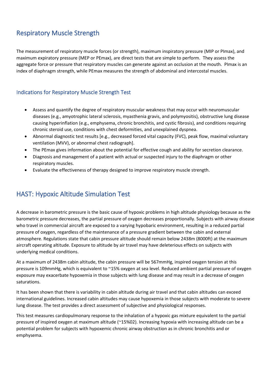# <span id="page-10-0"></span>Respiratory Muscle Strength

The measurement of respiratory muscle forces (or strength), maximum inspiratory pressure (MIP or PImax), and maximum expiratory pressure (MEP or PEmax), are direct tests that are simple to perform. They assess the aggregate force or pressure that respiratory muscles can generate against an occlusion at the mouth. PImax is an index of diaphragm strength, while PEmax measures the strength of abdominal and intercostal muscles.

### <span id="page-10-1"></span>Indications for Respiratory Muscle Strength Test

- Assess and quantify the degree of respiratory muscular weakness that may occur with neuromuscular diseases (e.g., amyotrophic lateral sclerosis, myasthenia gravis, and polymyositis), obstructive lung disease causing hyperinflation (e.g., emphysema, chronic bronchitis, and cystic fibrosis), and conditions requiring chronic steroid use, conditions with chest deformities, and unexplained dyspnea.
- Abnormal diagnostic test results [e.g., decreased forced vital capacity (FVC), peak flow, maximal voluntary ventilation (MVV), or abnormal chest radiograph].
- The PEmax gives information about the potential for effective cough and ability for secretion clearance.
- Diagnosis and management of a patient with actual or suspected injury to the diaphragm or other respiratory muscles.
- Evaluate the effectiveness of therapy designed to improve respiratory muscle strength.

# <span id="page-10-2"></span>HAST: Hypoxic Altitude Simulation Test

A decrease in barometric pressure is the basic cause of hypoxic problems in high altitude physiology because as the barometric pressure decreases, the partial pressure of oxygen decreases proportionally. Subjects with airway disease who travel in commercial aircraft are exposed to a varying hypobaric environment, resulting in a reduced partial pressure of oxygen, regardless of the maintenance of a pressure gradient between the cabin and external atmosphere. Regulations state that cabin pressure altitude should remain below 2438m (8000ft) at the maximum aircraft operating altitude. Exposure to altitude by air travel may have deleterious effects on subjects with underlying medical conditions.

At a maximum of 2438m cabin altitude, the cabin pressure will be 567mmHg, inspired oxygen tension at this pressure is 109mmHg, which is equivalent to ~15% oxygen at sea level. Reduced ambient partial pressure of oxygen exposure may exacerbate hypoxemia in those subjects with lung disease and may result in a decrease of oxygen saturations.

It has been shown that there is variability in cabin altitude during air travel and that cabin altitudes can exceed international guidelines. Increased cabin altitudes may cause hypoxemia in those subjects with moderate to severe lung disease. The test provides a direct assessment of subjective and physiological responses.

This test measures cardiopulmonary response to the inhalation of a hypoxic gas mixture equivalent to the partial pressure of inspired oxygen at maximum altitude (~15%02). Increasing hypoxia with increasing altitude can be a potential problem for subjects with hypoxemic chronic airway obstruction as in chronic bronchitis and or emphysema.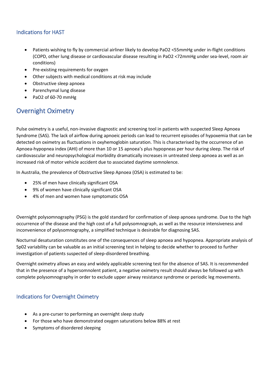### <span id="page-11-0"></span>Indications for HAST

- Patients wishing to fly by commercial airliner likely to develop PaO2 <55mmHg under in-flight conditions (COPD, other lung disease or cardiovascular disease resulting in PaO2 <72mmHg under sea-level, room air conditions)
- Pre-existing requirements for oxygen
- Other subjects with medical conditions at risk may include
- Obstructive sleep apnoea
- Parenchymal lung disease
- PaO2 of 60-70 mmHg

# <span id="page-11-1"></span>Overnight Oximetry

Pulse oximetry is a useful, non-invasive diagnostic and screening tool in patients with suspected Sleep Apnoea Syndrome (SAS). The lack of airflow during apnoeic periods can lead to recurrent episodes of hypoxemia that can be detected on oximetry as fluctuations in oxyhemoglobin saturation. This is characterised by the occurrence of an Apnoea-hypopnea index (AHI) of more than 10 or 15 apnoea's plus hypopneas per hour during sleep. The risk of cardiovascular and neuropsychological morbidity dramatically increases in untreated sleep apnoea as well as an increased risk of motor vehicle accident due to associated daytime somnolence.

In Australia, the prevalence of Obstructive Sleep Apnoea (OSA) is estimated to be:

- 25% of men have clinically significant OSA
- 9% of women have clinically significant OSA
- 4% of men and women have symptomatic OSA

Overnight polysomnography (PSG) is the gold standard for confirmation of sleep apnoea syndrome. Due to the high occurrence of the disease and the high cost of a full polysomnograph, as well as the resource intensiveness and inconvenience of polysomnography, a simplified technique is desirable for diagnosing SAS.

Nocturnal desaturation constitutes one of the consequences of sleep apnoea and hypopnea. Appropriate analysis of Sp02 variability can be valuable as an initial screening test in helping to decide whether to proceed to further investigation of patients suspected of sleep-disordered breathing.

Overnight oximetry allows an easy and widely applicable screening test for the absence of SAS. It is recommended that in the presence of a hypersomnolent patient, a negative oximetry result should always be followed up with complete polysomnography in order to exclude upper airway resistance syndrome or periodic leg movements.

### <span id="page-11-2"></span>Indications for Overnight Oximetry

- As a pre-curser to performing an overnight sleep study
- For those who have demonstrated oxygen saturations below 88% at rest
- Symptoms of disordered sleeping